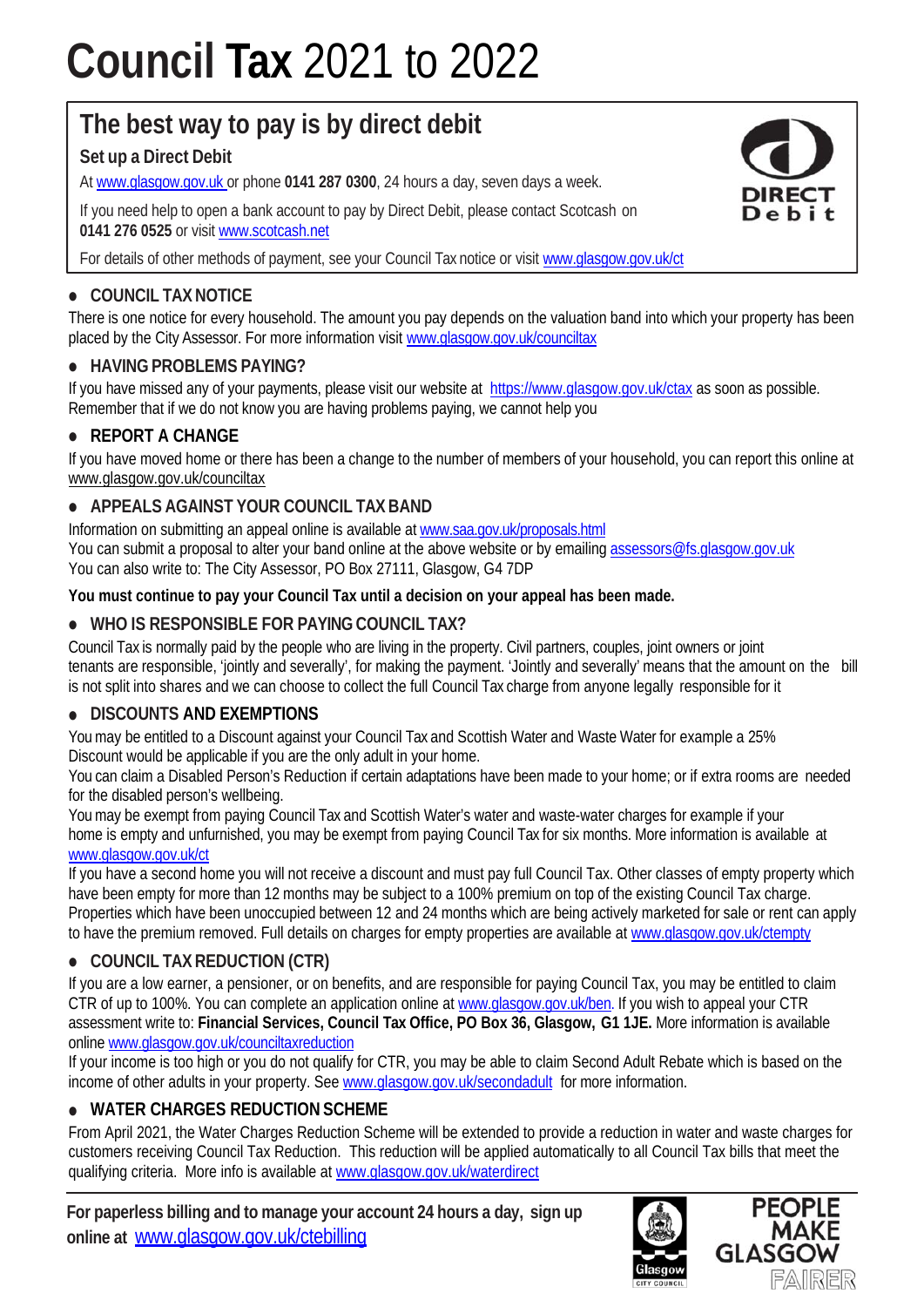# **Council Tax** 2021 to 2022

# **The best way to pay is by direct debit**

# **Set up a Direct Debit**

At www.glasgow.gov.uk or phone **0141 287 0300**, 24 hours a day, seven days a week.

If you need help to open a bank account to pay by Direct Debit, please contact Scotcash on **0141 276 0525** or visit www.scotcash.net

For details of other methods of payment, see your Council Tax notice or visit www.glasgow.gov.uk/ct

# **• COUNCIL TAX NOTICE**

There is one notice for every household. The amount you pay depends on the valuation band into which your property has been placed by the City Assessor. For more information visit www.glasgow.gov.uk/counciltax

# **• HAVING PROBLEMS PAYING?**

If you have missed any of your payments, please visit our website at https://www.glasgow.gov.uk/ctax as soon as possible. Remember that if we do not know you are having problems paying, we cannot help you

# **• REPORT A CHANGE**

If you have moved home or there has been a change to the number of members of your household, you can report this online at www.glasgow.gov.uk/counciltax

# **• APPEALS AGAINST YOUR COUNCIL TAX BAND**

Information on submitting an appeal online is available at www.saa.gov.uk/proposals.html You can submit a proposal to alter your band online at the above website or by emailing assessors@fs.glasgow.gov.uk You can also write to: The City Assessor, PO Box 27111, Glasgow, G4 7DP

#### **You must continue to pay your Council Tax until a decision on your appeal has been made.**

# **• WHO IS RESPONSIBLE FOR PAYING COUNCIL TAX?**

Council Tax is normally paid by the people who are living in the property. Civil partners, couples, joint owners or joint tenants are responsible, 'jointly and severally', for making the payment. 'Jointly and severally' means that the amount on the bill is not split into shares and we can choose to collect the full Council Tax charge from anyone legally responsible for it

#### **• DISCOUNTS AND EXEMPTIONS**

You may be entitled to a Discount against your Council Tax and Scottish Water and Waste Water for example a 25% Discount would be applicable if you are the only adult in your home.

You can claim a Disabled Person's Reduction if certain adaptations have been made to your home; or if extra rooms are needed for the disabled person's wellbeing.

You may be exempt from paying Council Tax and Scottish Water's water and waste-water charges for example if your home is empty and unfurnished, you may be exempt from paying Council Tax for six months. More information is available at www.glasgow.gov.uk/ct

If you have a second home you will not receive a discount and must pay full Council Tax. Other classes of empty property which have been empty for more than 12 months may be subject to a 100% premium on top of the existing Council Tax charge. Properties which have been unoccupied between 12 and 24 months which are being actively marketed for sale or rent can apply to have the premium removed. Full details on charges for empty properties are available at www.glasgow.gov.uk/ctempty

#### **• COUNCIL TAX REDUCTION (CTR)**

If you are a low earner, a pensioner, or on benefits, and are responsible for paying Council Tax, you may be entitled to claim CTR of up to 100%. You can complete an application online at www.glasgow.gov.uk/ben. If you wish to appeal your CTR assessment write to: **Financial Services, Council Tax Office, PO Box 36, Glasgow, G1 1JE.** More information is available online www.glasgow.gov.uk/counciltaxreduction

If your income is too high or you do not qualify for CTR, you may be able to claim Second Adult Rebate which is based on the income of other adults in your property. See www.glasgow.gov.uk/secondadult for more information.

# **• WATER CHARGES REDUCTION SCHEME**

From April 2021, the Water Charges Reduction Scheme will be extended to provide a reduction in water and waste charges for customers receiving Council Tax Reduction. This reduction will be applied automatically to all Council Tax bills that meet the qualifying criteria. More info is available at www.glasgow.gov.uk/waterdirect

**For paperless billing and to manage your account 24 hours a day, sign up online at** www.glasgow.gov.uk/ctebilling